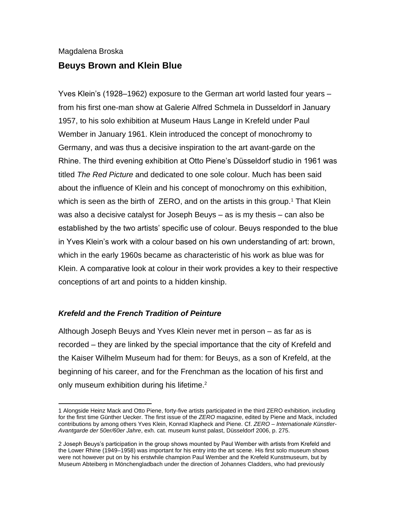# Magdalena Broska **Beuys Brown and Klein Blue**

Yves Klein's (1928–1962) exposure to the German art world lasted four years – from his first one-man show at Galerie Alfred Schmela in Dusseldorf in January 1957, to his solo exhibition at Museum Haus Lange in Krefeld under Paul Wember in January 1961. Klein introduced the concept of monochromy to Germany, and was thus a decisive inspiration to the art avant-garde on the Rhine. The third evening exhibition at Otto Piene's Düsseldorf studio in 1961 was titled *The Red Picture* and dedicated to one sole colour. Much has been said about the influence of Klein and his concept of monochromy on this exhibition, which is seen as the birth of  $ZERO$ , and on the artists in this group.<sup>1</sup> That Klein was also a decisive catalyst for Joseph Beuys – as is my thesis – can also be established by the two artists' specific use of colour. Beuys responded to the blue in Yves Klein's work with a colour based on his own understanding of art: brown, which in the early 1960s became as characteristic of his work as blue was for Klein. A comparative look at colour in their work provides a key to their respective conceptions of art and points to a hidden kinship.

## *Krefeld and the French Tradition of Peinture*

Although Joseph Beuys and Yves Klein never met in person – as far as is recorded – they are linked by the special importance that the city of Krefeld and the Kaiser Wilhelm Museum had for them: for Beuys, as a son of Krefeld, at the beginning of his career, and for the Frenchman as the location of his first and only museum exhibition during his lifetime.<sup>2</sup>

<sup>1</sup> Alongside Heinz Mack and Otto Piene, forty-five artists participated in the third ZERO exhibition, including for the first time Günther Uecker. The first issue of the *ZERO* magazine, edited by Piene and Mack, included contributions by among others Yves Klein, Konrad Klapheck and Piene. Cf. *ZERO – Internationale Künstler-Avantgarde der 50er/60er Jahre*, exh. cat. museum kunst palast, Düsseldorf 2006, p. 275.

<sup>2</sup> Joseph Beuys's participation in the group shows mounted by Paul Wember with artists from Krefeld and the Lower Rhine (1949–1958) was important for his entry into the art scene. His first solo museum shows were not however put on by his erstwhile champion Paul Wember and the Krefeld Kunstmuseum, but by Museum Abteiberg in Mönchengladbach under the direction of Johannes Cladders, who had previously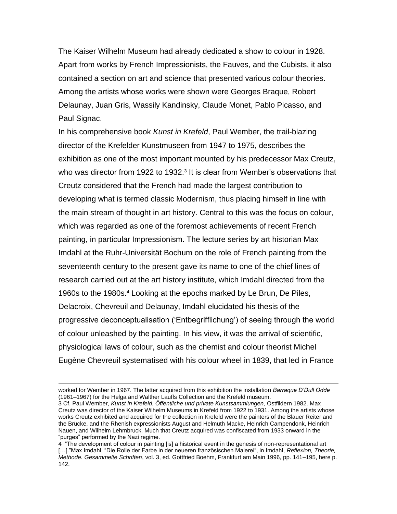The Kaiser Wilhelm Museum had already dedicated a show to colour in 1928. Apart from works by French Impressionists, the Fauves, and the Cubists, it also contained a section on art and science that presented various colour theories. Among the artists whose works were shown were Georges Braque, Robert Delaunay, Juan Gris, Wassily Kandinsky, Claude Monet, Pablo Picasso, and Paul Signac.

In his comprehensive book *Kunst in Krefeld*, Paul Wember, the trail-blazing director of the Krefelder Kunstmuseen from 1947 to 1975, describes the exhibition as one of the most important mounted by his predecessor Max Creutz, who was director from 1922 to 1932.<sup>3</sup> It is clear from Wember's observations that Creutz considered that the French had made the largest contribution to developing what is termed classic Modernism, thus placing himself in line with the main stream of thought in art history. Central to this was the focus on colour, which was regarded as one of the foremost achievements of recent French painting, in particular Impressionism. The lecture series by art historian Max Imdahl at the Ruhr-Universität Bochum on the role of French painting from the seventeenth century to the present gave its name to one of the chief lines of research carried out at the art history institute, which Imdahl directed from the 1960s to the 1980s.<sup>4</sup> Looking at the epochs marked by Le Brun, De Piles, Delacroix, Chevreuil and Delaunay, Imdahl elucidated his thesis of the progressive deconceptualisation ('Entbegrifflichung') of seeing through the world of colour unleashed by the painting. In his view, it was the arrival of scientific, physiological laws of colour, such as the chemist and colour theorist Michel Eugène Chevreuil systematised with his colour wheel in 1839, that led in France

worked for Wember in 1967. The latter acquired from this exhibition the installation *Barraque D'Dull Odde* (1961–1967) for the Helga and Walther Lauffs Collection and the Krefeld museum.

<sup>3</sup> Cf. Paul Wember, *Kunst in Krefeld. Öffentliche und private Kunstsammlungen*, Ostfildern 1982. Max Creutz was director of the Kaiser Wilhelm Museums in Krefeld from 1922 to 1931. Among the artists whose works Creutz exhibited and acquired for the collection in Krefeld were the painters of the Blauer Reiter and the Brücke, and the Rhenish expressionists August and Helmuth Macke, Heinrich Campendonk, Heinrich Nauen, and Wilhelm Lehmbruck. Much that Creutz acquired was confiscated from 1933 onward in the "purges" performed by the Nazi regime.

<sup>4 &</sup>quot;The development of colour in painting [is] a historical event in the genesis of non-representational art […]."Max Imdahl, "Die Rolle der Farbe in der neueren französischen Malerei", in Imdahl, *Reflexion, Theorie, Methode. Gesammelte Schriften*, vol. 3, ed. Gottfried Boehm, Frankfurt am Main 1996, pp. 141–195, here p. 142.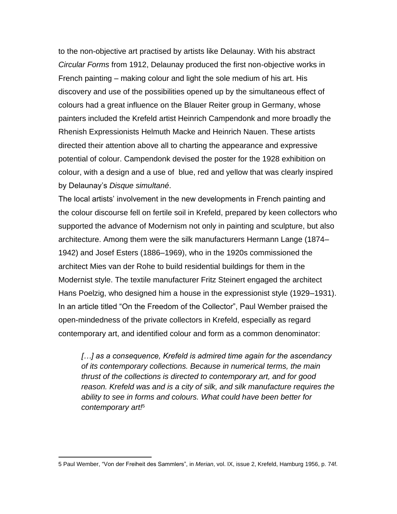to the non-objective art practised by artists like Delaunay. With his abstract *Circular Forms* from 1912, Delaunay produced the first non-objective works in French painting – making colour and light the sole medium of his art. His discovery and use of the possibilities opened up by the simultaneous effect of colours had a great influence on the Blauer Reiter group in Germany, whose painters included the Krefeld artist Heinrich Campendonk and more broadly the Rhenish Expressionists Helmuth Macke and Heinrich Nauen. These artists directed their attention above all to charting the appearance and expressive potential of colour. Campendonk devised the poster for the 1928 exhibition on colour, with a design and a use of blue, red and yellow that was clearly inspired by Delaunay's *Disque simultané*.

The local artists' involvement in the new developments in French painting and the colour discourse fell on fertile soil in Krefeld, prepared by keen collectors who supported the advance of Modernism not only in painting and sculpture, but also architecture. Among them were the silk manufacturers Hermann Lange (1874– 1942) and Josef Esters (1886–1969), who in the 1920s commissioned the architect Mies van der Rohe to build residential buildings for them in the Modernist style. The textile manufacturer Fritz Steinert engaged the architect Hans Poelzig, who designed him a house in the expressionist style (1929–1931). In an article titled "On the Freedom of the Collector", Paul Wember praised the open-mindedness of the private collectors in Krefeld, especially as regard contemporary art, and identified colour and form as a common denominator:

*[…] as a consequence, Krefeld is admired time again for the ascendancy of its contemporary collections. Because in numerical terms, the main thrust of the collections is directed to contemporary art, and for good reason. Krefeld was and is a city of silk, and silk manufacture requires the ability to see in forms and colours. What could have been better for contemporary art!*<sup>5</sup>

<sup>5</sup> Paul Wember, "Von der Freiheit des Sammlers", in *Merian*, vol. IX, issue 2, Krefeld, Hamburg 1956, p. 74f.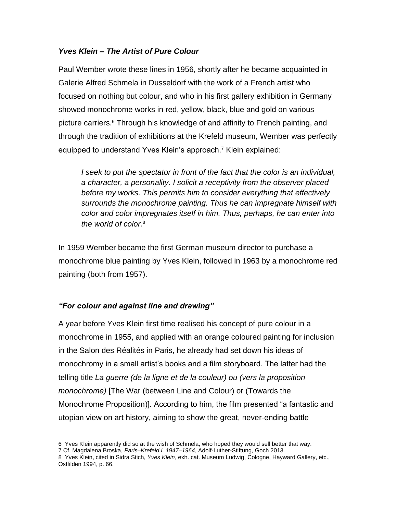## *Yves Klein – The Artist of Pure Colour*

Paul Wember wrote these lines in 1956, shortly after he became acquainted in Galerie Alfred Schmela in Dusseldorf with the work of a French artist who focused on nothing but colour, and who in his first gallery exhibition in Germany showed monochrome works in red, yellow, black, blue and gold on various picture carriers.<sup>6</sup> Through his knowledge of and affinity to French painting, and through the tradition of exhibitions at the Krefeld museum, Wember was perfectly equipped to understand Yves Klein's approach.<sup>7</sup> Klein explained:

*I seek to put the spectator in front of the fact that the color is an individual, a character, a personality. I solicit a receptivity from the observer placed before my works. This permits him to consider everything that effectively surrounds the monochrome painting. Thus he can impregnate himself with color and color impregnates itself in him. Thus, perhaps, he can enter into the world of color.*<sup>8</sup>

In 1959 Wember became the first German museum director to purchase a monochrome blue painting by Yves Klein, followed in 1963 by a monochrome red painting (both from 1957).

## *"For colour and against line and drawing"*

A year before Yves Klein first time realised his concept of pure colour in a monochrome in 1955, and applied with an orange coloured painting for inclusion in the Salon des Réalités in Paris, he already had set down his ideas of monochromy in a small artist's books and a film storyboard. The latter had the telling title *La guerre (de la ligne et de la couleur) ou (vers la proposition monochrome)* [The War (between Line and Colour) or (Towards the Monochrome Proposition)]. According to him, the film presented "a fantastic and utopian view on art history, aiming to show the great, never-ending battle

<sup>6</sup> Yves Klein apparently did so at the wish of Schmela, who hoped they would sell better that way.

<sup>7</sup> Cf. Magdalena Broska, *Paris–Krefeld I, 1947–1964*, Adolf-Luther-Stiftung, Goch 2013.

<sup>8</sup> Yves Klein, cited in Sidra Stich, *Yves Klein*, exh. cat. Museum Ludwig, Cologne, Hayward Gallery, etc., Ostfilden 1994, p. 66.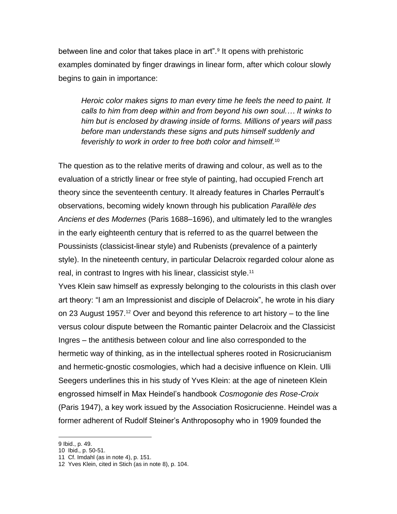between line and color that takes place in art".<sup>9</sup> It opens with prehistoric examples dominated by finger drawings in linear form, after which colour slowly begins to gain in importance:

*Heroic color makes signs to man every time he feels the need to paint. It calls to him from deep within and from beyond his own soul.… It winks to him but is enclosed by drawing inside of forms. Millions of years will pass before man understands these signs and puts himself suddenly and feverishly to work in order to free both color and himself.*<sup>10</sup>

The question as to the relative merits of drawing and colour, as well as to the evaluation of a strictly linear or free style of painting, had occupied French art theory since the seventeenth century. It already features in Charles Perrault's observations, becoming widely known through his publication *Parallèle des Anciens et des Modernes* (Paris 1688–1696), and ultimately led to the wrangles in the early eighteenth century that is referred to as the quarrel between the Poussinists (classicist-linear style) and Rubenists (prevalence of a painterly style). In the nineteenth century, in particular Delacroix regarded colour alone as real, in contrast to Ingres with his linear, classicist style.<sup>11</sup>

Yves Klein saw himself as expressly belonging to the colourists in this clash over art theory: "I am an Impressionist and disciple of Delacroix", he wrote in his diary on 23 August 1957.<sup>12</sup> Over and beyond this reference to art history – to the line versus colour dispute between the Romantic painter Delacroix and the Classicist Ingres – the antithesis between colour and line also corresponded to the hermetic way of thinking, as in the intellectual spheres rooted in Rosicrucianism and hermetic-gnostic cosmologies, which had a decisive influence on Klein. Ulli Seegers underlines this in his study of Yves Klein: at the age of nineteen Klein engrossed himself in Max Heindel's handbook *Cosmogonie des Rose-Croix* (Paris 1947), a key work issued by the Association Rosicrucienne. Heindel was a former adherent of Rudolf Steiner's Anthroposophy who in 1909 founded the

<sup>9</sup> Ibid., p. 49.

<sup>10</sup> Ibid., p. 50-51.

<sup>11</sup> Cf. Imdahl (as in note 4), p. 151.

<sup>12</sup> Yves Klein, cited in Stich (as in note 8), p. 104.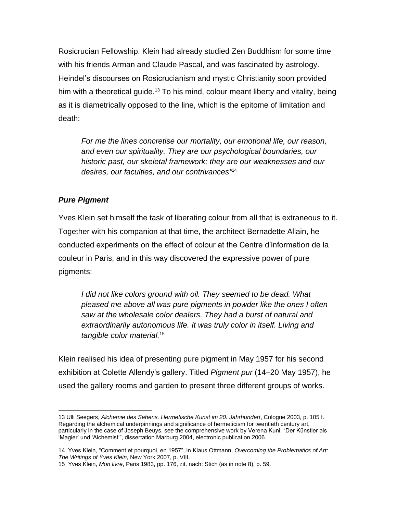Rosicrucian Fellowship. Klein had already studied Zen Buddhism for some time with his friends Arman and Claude Pascal, and was fascinated by astrology. Heindel's discourses on Rosicrucianism and mystic Christianity soon provided him with a theoretical guide.<sup>13</sup> To his mind, colour meant liberty and vitality, being as it is diametrically opposed to the line, which is the epitome of limitation and death:

*For me the lines concretise our mortality, our emotional life, our reason, and even our spirituality. They are our psychological boundaries, our historic past, our skeletal framework; they are our weaknesses and our desires, our faculties, and our contrivances"* 14

## *Pure Pigment*

Yves Klein set himself the task of liberating colour from all that is extraneous to it. Together with his companion at that time, the architect Bernadette Allain, he conducted experiments on the effect of colour at the Centre d'information de la couleur in Paris, and in this way discovered the expressive power of pure pigments:

*I did not like colors ground with oil. They seemed to be dead. What pleased me above all was pure pigments in powder like the ones I often saw at the wholesale color dealers. They had a burst of natural and extraordinarily autonomous life. It was truly color in itself. Living and tangible color material.*<sup>15</sup>

Klein realised his idea of presenting pure pigment in May 1957 for his second exhibition at Colette Allendy's gallery. Titled *Pigment pur* (14–20 May 1957), he used the gallery rooms and garden to present three different groups of works.

<sup>13</sup> Ulli Seegers, *Alchemie des Sehens. Hermetische Kunst im 20. Jahrhundert*, Cologne 2003, p. 105 f. Regarding the alchemical underpinnings and significance of hermeticism for twentieth century art, particularly in the case of Joseph Beuys, see the comprehensive work by Verena Kuni, "Der Künstler als 'Magier' und 'Alchemist'", dissertation Marburg 2004, electronic publication 2006.

<sup>14</sup> Yves Klein, "Comment et pourquoi, en 1957", in Klaus Ottmann, *Overcoming the Problematics of Art: The Writings of Yves Klein*, New York 2007, p. VIII.

<sup>15</sup> Yves Klein, *Mon livre*, Paris 1983, pp. 176, zit. nach: Stich (as in note 8), p. 59.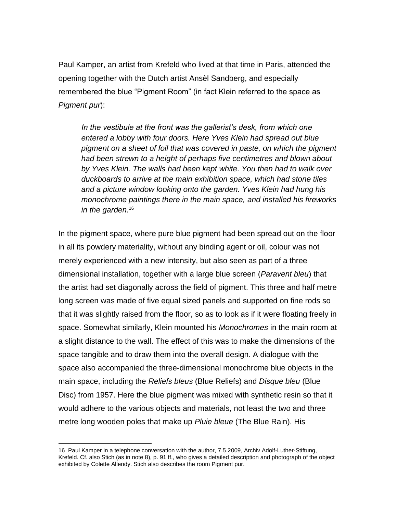Paul Kamper, an artist from Krefeld who lived at that time in Paris, attended the opening together with the Dutch artist Ansèl Sandberg, and especially remembered the blue "Pigment Room" (in fact Klein referred to the space as *Pigment pur*):

*In the vestibule at the front was the gallerist's desk, from which one entered a lobby with four doors. Here Yves Klein had spread out blue pigment on a sheet of foil that was covered in paste, on which the pigment had been strewn to a height of perhaps five centimetres and blown about by Yves Klein. The walls had been kept white. You then had to walk over duckboards to arrive at the main exhibition space, which had stone tiles and a picture window looking onto the garden. Yves Klein had hung his monochrome paintings there in the main space, and installed his fireworks in the garden.*<sup>16</sup>

In the pigment space, where pure blue pigment had been spread out on the floor in all its powdery materiality, without any binding agent or oil, colour was not merely experienced with a new intensity, but also seen as part of a three dimensional installation, together with a large blue screen (*Paravent bleu*) that the artist had set diagonally across the field of pigment. This three and half metre long screen was made of five equal sized panels and supported on fine rods so that it was slightly raised from the floor, so as to look as if it were floating freely in space. Somewhat similarly, Klein mounted his *Monochromes* in the main room at a slight distance to the wall. The effect of this was to make the dimensions of the space tangible and to draw them into the overall design. A dialogue with the space also accompanied the three-dimensional monochrome blue objects in the main space, including the *Reliefs bleus* (Blue Reliefs) and *Disque bleu* (Blue Disc) from 1957. Here the blue pigment was mixed with synthetic resin so that it would adhere to the various objects and materials, not least the two and three metre long wooden poles that make up *Pluie bleue* (The Blue Rain). His

<sup>16</sup> Paul Kamper in a telephone conversation with the author, 7.5.2009, Archiv Adolf-Luther-Stiftung, Krefeld. Cf. also Stich (as in note 8), p. 91 ff., who gives a detailed description and photograph of the object exhibited by Colette Allendy. Stich also describes the room Pigment pur.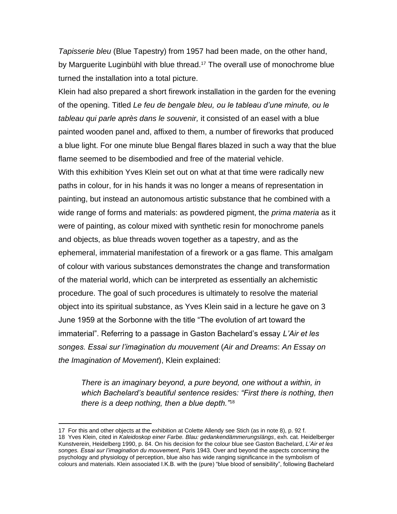*Tapisserie bleu* (Blue Tapestry) from 1957 had been made, on the other hand, by Marguerite Luginbühl with blue thread.<sup>17</sup> The overall use of monochrome blue turned the installation into a total picture.

Klein had also prepared a short firework installation in the garden for the evening of the opening. Titled *Le feu de bengale bleu, ou le tableau d'une minute, ou le tableau qui parle après dans le souvenir,* it consisted of an easel with a blue painted wooden panel and, affixed to them, a number of fireworks that produced a blue light. For one minute blue Bengal flares blazed in such a way that the blue flame seemed to be disembodied and free of the material vehicle. With this exhibition Yves Klein set out on what at that time were radically new paths in colour, for in his hands it was no longer a means of representation in painting, but instead an autonomous artistic substance that he combined with a wide range of forms and materials: as powdered pigment, the *prima materia* as it were of painting, as colour mixed with synthetic resin for monochrome panels and objects, as blue threads woven together as a tapestry, and as the ephemeral, immaterial manifestation of a firework or a gas flame. This amalgam of colour with various substances demonstrates the change and transformation of the material world, which can be interpreted as essentially an alchemistic procedure. The goal of such procedures is ultimately to resolve the material object into its spiritual substance, as Yves Klein said in a lecture he gave on 3 June 1959 at the Sorbonne with the title "The evolution of art toward the immaterial". Referring to a passage in Gaston Bachelard's essay *L'Air et les songes. Essai sur l'imagination du mouvement* (*Air and Dreams*: *An Essay on the Imagination of Movement*), Klein explained:

*There is an imaginary beyond, a pure beyond, one without a within, in which Bachelard's beautiful sentence resid*es*: "First there is nothing, then there is a deep nothing, then a blue depth."*<sup>18</sup>

<sup>17</sup> For this and other objects at the exhibition at Colette Allendy see Stich (as in note 8), p. 92 f. 18 Yves Klein, cited in *Kaleidoskop einer Farbe. Blau: gedankendämmerungslängs*, exh. cat. Heidelberger Kunstverein, Heidelberg 1990, p. 84. On his decision for the colour blue see Gaston Bachelard, *L'Air et les songes. Essai sur l'imagination du mouvement*, Paris 1943. Over and beyond the aspects concerning the psychology and physiology of perception, blue also has wide ranging significance in the symbolism of colours and materials. Klein associated I.K.B. with the (pure) "blue blood of sensibility", following Bachelard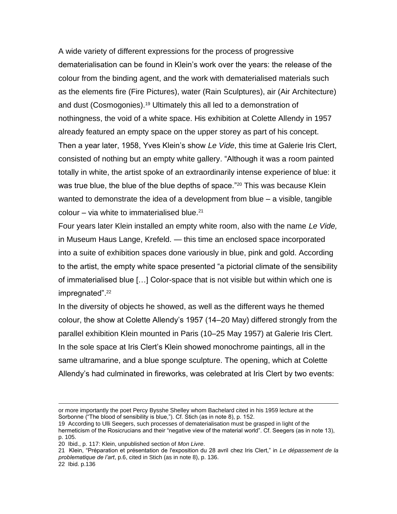A wide variety of different expressions for the process of progressive dematerialisation can be found in Klein's work over the years: the release of the colour from the binding agent, and the work with dematerialised materials such as the elements fire (Fire Pictures), water (Rain Sculptures), air (Air Architecture) and dust (Cosmogonies).<sup>19</sup> Ultimately this all led to a demonstration of nothingness, the void of a white space. His exhibition at Colette Allendy in 1957 already featured an empty space on the upper storey as part of his concept. Then a year later, 1958, Yves Klein's show *Le Vide*, this time at Galerie Iris Clert, consisted of nothing but an empty white gallery. "Although it was a room painted totally in white, the artist spoke of an extraordinarily intense experience of blue: it was true blue, the blue of the blue depths of space."<sup>20</sup> This was because Klein wanted to demonstrate the idea of a development from blue – a visible, tangible colour – via white to immaterialised blue. $21$ 

Four years later Klein installed an empty white room, also with the name *Le Vide,* in Museum Haus Lange, Krefeld. — this time an enclosed space incorporated into a suite of exhibition spaces done variously in blue, pink and gold. According to the artist, the empty white space presented "a pictorial climate of the sensibility of immaterialised blue […] Color-space that is not visible but within which one is impregnated".<sup>22</sup>

In the diversity of objects he showed, as well as the different ways he themed colour, the show at Colette Allendy's 1957 (14–20 May) differed strongly from the parallel exhibition Klein mounted in Paris (10–25 May 1957) at Galerie Iris Clert. In the sole space at Iris Clert's Klein showed monochrome paintings, all in the same ultramarine, and a blue sponge sculpture. The opening, which at Colette Allendy's had culminated in fireworks, was celebrated at Iris Clert by two events:

or more importantly the poet Percy Bysshe Shelley whom Bachelard cited in his 1959 lecture at the Sorbonne ("The blood of sensibility is blue,"). Cf. Stich (as in note 8), p. 152.

<sup>19</sup> According to Ulli Seegers, such processes of dematerialisation must be grasped in light of the hermeticism of the Rosicrucians and their "negative view of the material world". Cf. Seegers (as in note 13), p. 105.

<sup>20</sup> Ibid., p. 117: Klein, unpublished section of *Mon Livre*.

<sup>21</sup> Klein, "Préparation et présentation de l'exposition du 28 avril chez Iris Clert," in *Le dépassement de la problematique de l'art*, p.6, cited in Stich (as in note 8), p. 136.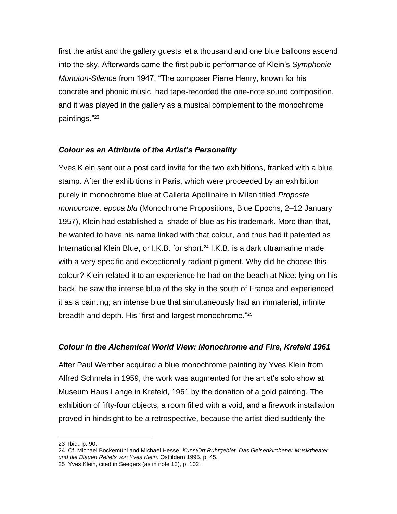first the artist and the gallery guests let a thousand and one blue balloons ascend into the sky. Afterwards came the first public performance of Klein's *Symphonie Monoton-Silence* from 1947. "The composer Pierre Henry, known for his concrete and phonic music, had tape-recorded the one-note sound composition, and it was played in the gallery as a musical complement to the monochrome paintings."<sup>23</sup>

#### *Colour as an Attribute of the Artist's Personality*

Yves Klein sent out a post card invite for the two exhibitions, franked with a blue stamp. After the exhibitions in Paris, which were proceeded by an exhibition purely in monochrome blue at Galleria Apollinaire in Milan titled *Proposte monocrome, epoca blu* (Monochrome Propositions, Blue Epochs, 2–12 January 1957), Klein had established a shade of blue as his trademark. More than that, he wanted to have his name linked with that colour, and thus had it patented as International Klein Blue, or I.K.B. for short.<sup>24</sup> I.K.B. is a dark ultramarine made with a very specific and exceptionally radiant pigment. Why did he choose this colour? Klein related it to an experience he had on the beach at Nice: lying on his back, he saw the intense blue of the sky in the south of France and experienced it as a painting; an intense blue that simultaneously had an immaterial, infinite breadth and depth. His "first and largest monochrome."<sup>25</sup>

#### *Colour in the Alchemical World View: Monochrome and Fire, Krefeld 1961*

After Paul Wember acquired a blue monochrome painting by Yves Klein from Alfred Schmela in 1959, the work was augmented for the artist's solo show at Museum Haus Lange in Krefeld, 1961 by the donation of a gold painting. The exhibition of fifty-four objects, a room filled with a void, and a firework installation proved in hindsight to be a retrospective, because the artist died suddenly the

<sup>23</sup> Ibid., p. 90.

<sup>24</sup> Cf. Michael Bockemühl and Michael Hesse, *KunstOrt Ruhrgebiet. Das Gelsenkirchener Musiktheater und die Blauen Reliefs von Yves Klein*, Ostfildern 1995, p. 45.

<sup>25</sup> Yves Klein, cited in Seegers (as in note 13), p. 102.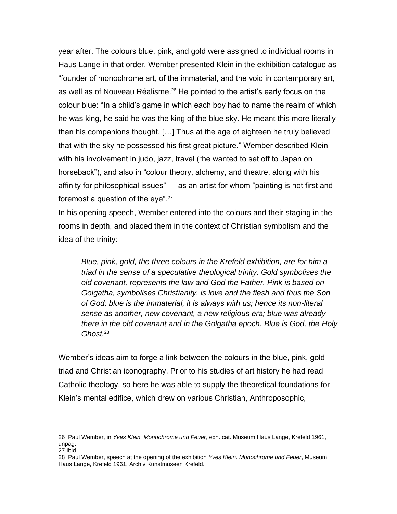year after. The colours blue, pink, and gold were assigned to individual rooms in Haus Lange in that order. Wember presented Klein in the exhibition catalogue as "founder of monochrome art, of the immaterial, and the void in contemporary art, as well as of Nouveau Réalisme.<sup>26</sup> He pointed to the artist's early focus on the colour blue: "In a child's game in which each boy had to name the realm of which he was king, he said he was the king of the blue sky. He meant this more literally than his companions thought. […] Thus at the age of eighteen he truly believed that with the sky he possessed his first great picture." Wember described Klein with his involvement in judo, jazz, travel ("he wanted to set off to Japan on horseback"), and also in "colour theory, alchemy, and theatre, along with his affinity for philosophical issues" — as an artist for whom "painting is not first and foremost a question of the eye".<sup>27</sup>

In his opening speech, Wember entered into the colours and their staging in the rooms in depth, and placed them in the context of Christian symbolism and the idea of the trinity:

*Blue, pink, gold, the three colours in the Krefeld exhibition, are for him a triad in the sense of a speculative theological trinity. Gold symbolises the old covenant, represents the law and God the Father. Pink is based on Golgatha, symbolises Christianity, is love and the flesh and thus the Son of God; blue is the immaterial, it is always with us; hence its non-literal sense as another, new covenant, a new religious era; blue was already there in the old covenant and in the Golgatha epoch. Blue is God, the Holy Ghost.*<sup>28</sup>

Wember's ideas aim to forge a link between the colours in the blue, pink, gold triad and Christian iconography. Prior to his studies of art history he had read Catholic theology, so here he was able to supply the theoretical foundations for Klein's mental edifice, which drew on various Christian, Anthroposophic,

<sup>26</sup> Paul Wember, in *Yves Klein. Monochrome und Feuer*, exh. cat. Museum Haus Lange, Krefeld 1961, unpag.

<sup>27</sup> Ibid.

<sup>28</sup> Paul Wember, speech at the opening of the exhibition *Yves Klein. Monochrome und Feuer*, Museum Haus Lange, Krefeld 1961, Archiv Kunstmuseen Krefeld.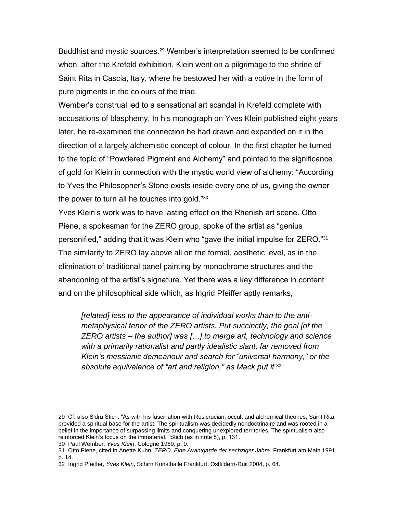Buddhist and mystic sources.<sup>29</sup> Wember's interpretation seemed to be confirmed when, after the Krefeld exhibition, Klein went on a pilgrimage to the shrine of Saint Rita in Cascia, Italy, where he bestowed her with a votive in the form of pure pigments in the colours of the triad.

Wember's construal led to a sensational art scandal in Krefeld complete with accusations of blasphemy. In his monograph on Yves Klein published eight years later, he re-examined the connection he had drawn and expanded on it in the direction of a largely alchemistic concept of colour. In the first chapter he turned to the topic of "Powdered Pigment and Alchemy" and pointed to the significance of gold for Klein in connection with the mystic world view of alchemy: "According to Yves the Philosopher's Stone exists inside every one of us, giving the owner the power to turn all he touches into gold."<sup>30</sup>

Yves Klein's work was to have lasting effect on the Rhenish art scene. Otto Piene, a spokesman for the ZERO group, spoke of the artist as "genius personified," adding that it was Klein who "gave the initial impulse for ZERO."<sup>31</sup> The similarity to ZERO lay above all on the formal, aesthetic level, as in the elimination of traditional panel painting by monochrome structures and the abandoning of the artist's signature. Yet there was a key difference in content and on the philosophical side which, as Ingrid Pfeiffer aptly remarks,

*[related] less to the appearance of individual works than to the antimetaphysical tenor of the ZERO artists. Put succinctly, the goal [of the ZERO artists – the author] was […] to merge art, technology and science with a primarily rationalist and partly idealistic slant, far removed from Klein's messianic demeanour and search for "universal harmony," or the absolute equivalence of "art and religion," as Mack put it.*<sup>32</sup>

<sup>29</sup> Cf. also Sidra Stich: "As with his fascination with Rosicrucian, occult and alchemical theories, Saint Rita provided a spiritual base for the artist. The spiritualism was decidedly nondoctrinaire and was rooted in a belief in the importance of surpassing limits and conquering unexplored territories. The spiritualism also reinforced Klein's focus on the immaterial." Stich (as in note 8), p. 131.

<sup>30</sup> Paul Wember, *Yves Klein*, Cologne 1969, p. 9.

<sup>31</sup> Otto Piene, cited in Anette Kuhn, *ZERO. Eine Avantgarde der sechziger Jahre*, Frankfurt am Main 1991, p. 14.

<sup>32</sup> Ingrid Pfeiffer, *Yves Klein*, Schirn Kunsthalle Frankfurt, Ostfildern-Ruit 2004, p. 64.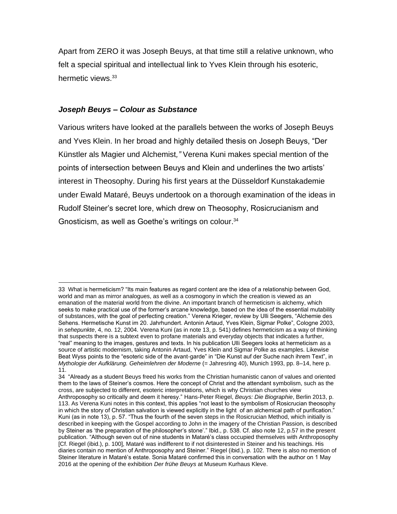Apart from ZERO it was Joseph Beuys, at that time still a relative unknown, who felt a special spiritual and intellectual link to Yves Klein through his esoteric, hermetic views.<sup>33</sup>

#### *Joseph Beuys – Colour as Substance*

Various writers have looked at the parallels between the works of Joseph Beuys and Yves Klein. In her broad and highly detailed thesis on Joseph Beuys, "Der Künstler als Magier und Alchemist*,"* Verena Kuni makes special mention of the points of intersection between Beuys and Klein and underlines the two artists' interest in Theosophy. During his first years at the Düsseldorf Kunstakademie under Ewald Mataré, Beuys undertook on a thorough examination of the ideas in Rudolf Steiner's secret lore, which drew on Theosophy, Rosicrucianism and Gnosticism, as well as Goethe's writings on colour.<sup>34</sup>

<sup>33</sup> What is hermeticism? "Its main features as regard content are the idea of a relationship between God, world and man as mirror analogues, as well as a cosmogony in which the creation is viewed as an emanation of the material world from the divine. An important branch of hermeticism is alchemy, which seeks to make practical use of the former's arcane knowledge, based on the idea of the essential mutability of substances, with the goal of perfecting creation." Verena Krieger, review by Ulli Seegers, "Alchemie des Sehens. Hermetische Kunst im 20. Jahrhundert. Antonin Artaud, Yves Klein, Sigmar Polke", Cologne 2003, in *sehepunkte*, 4, no. 12, 2004. Verena Kuni (as in note 13, p. 541) defines hermeticism as a way of thinking that suspects there is a subtext even to profane materials and everyday objects that indicates a further, "real" meaning to the images, gestures and texts. In his publication Ulli Seegers looks at hermeticism as a source of artistic modernism, taking Antonin Artaud, Yves Klein and Sigmar Polke as examples. Likewise Beat Wyss points to the "esoteric side of the avant-garde" in "Die Kunst auf der Suche nach ihrem Text", in *Mythologie der Aufklärung. Geheimlehren der Moderne* (= Jahresring 40), Munich 1993, pp. 8–14, here p. 11.

<sup>34</sup> "Already as a student Beuys freed his works from the Christian humanistic canon of values and oriented them to the laws of Steiner's cosmos. Here the concept of Christ and the attendant symbolism, such as the cross, are subjected to different, esoteric interpretations, which is why Christian churches view Anthroposophy so critically and deem it heresy." Hans-Peter Riegel, *Beuys: Die Biographie*, Berlin 2013, p. 113. As Verena Kuni notes in this context, this applies "not least to the symbolism of Rosicrucian theosophy in which the story of Christian salvation is viewed explicitly in the light of an alchemical path of purification." Kuni (as in note 13), p. 57. "Thus the fourth of the seven steps in the Rosicrucian Method, which initially is described in keeping with the Gospel according to John in the imagery of the Christian Passion, is described by Steiner as 'the preparation of the philosopher's stone'." Ibid., p. 538. Cf. also note 12, p.57 in the present publication. "Although seven out of nine students in Mataré's class occupied themselves with Anthroposophy [Cf. Riegel (ibid.), p. 100], Mataré was indifferent to if not disinterested in Steiner and his teachings. His diaries contain no mention of Anthroposophy and Steiner." Riegel (ibid.), p. 102. There is also no mention of Steiner literature in Mataré's estate. Sonia Mataré confirmed this in conversation with the author on 1 May 2016 at the opening of the exhibition *Der frühe Beuys* at Museum Kurhaus Kleve.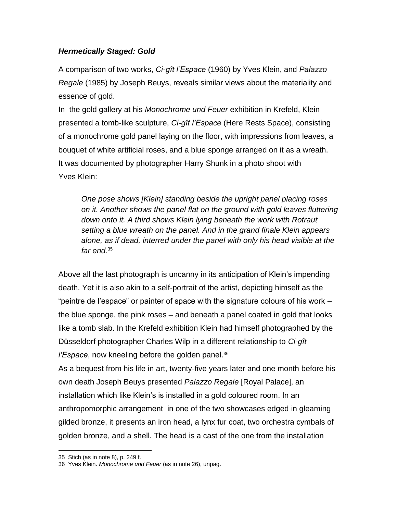## *Hermetically Staged: Gold*

A comparison of two works, *Ci-gît l'Espace* (1960) by Yves Klein, and *Palazzo Regale* (1985) by Joseph Beuys, reveals similar views about the materiality and essence of gold.

In the gold gallery at his *Monochrome und Feuer* exhibition in Krefeld, Klein presented a tomb-like sculpture, *Ci-gît l'Espace* (Here Rests Space), consisting of a monochrome gold panel laying on the floor, with impressions from leaves, a bouquet of white artificial roses, and a blue sponge arranged on it as a wreath. It was documented by photographer Harry Shunk in a photo shoot with Yves Klein:

*One pose shows [Klein] standing beside the upright panel placing roses on it. Another shows the panel flat on the ground with gold leaves fluttering down onto it. A third shows Klein lying beneath the work with Rotraut setting a blue wreath on the panel. And in the grand finale Klein appears alone, as if dead, interred under the panel with only his head visible at the far end.*<sup>35</sup>

Above all the last photograph is uncanny in its anticipation of Klein's impending death. Yet it is also akin to a self-portrait of the artist, depicting himself as the "peintre de l'espace" or painter of space with the signature colours of his work – the blue sponge, the pink roses – and beneath a panel coated in gold that looks like a tomb slab. In the Krefeld exhibition Klein had himself photographed by the Düsseldorf photographer Charles Wilp in a different relationship to *Ci-gît l'Espace*, now kneeling before the golden panel.<sup>36</sup>

As a bequest from his life in art, twenty-five years later and one month before his own death Joseph Beuys presented *Palazzo Regale* [Royal Palace], an installation which like Klein's is installed in a gold coloured room. In an anthropomorphic arrangement in one of the two showcases edged in gleaming gilded bronze, it presents an iron head, a lynx fur coat, two orchestra cymbals of golden bronze, and a shell. The head is a cast of the one from the installation

<sup>35</sup> Stich (as in note 8), p. 249 f.

<sup>36</sup> Yves Klein. *Monochrome und Feuer* (as in note 26), unpag.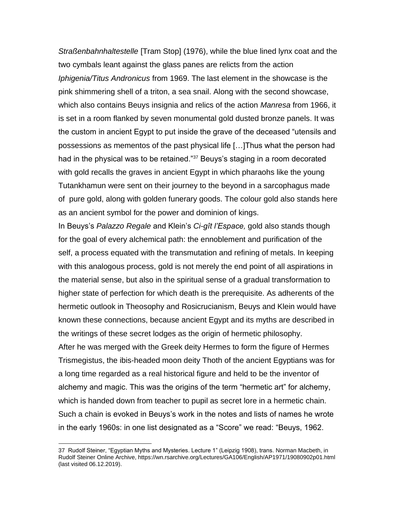*Straßenbahnhaltestelle* [Tram Stop] (1976), while the blue lined lynx coat and the two cymbals leant against the glass panes are relicts from the action *Iphigenia/Titus Andronicus* from 1969. The last element in the showcase is the pink shimmering shell of a triton, a sea snail. Along with the second showcase, which also contains Beuys insignia and relics of the action *Manresa* from 1966, it is set in a room flanked by seven monumental gold dusted bronze panels. It was the custom in ancient Egypt to put inside the grave of the deceased "utensils and possessions as mementos of the past physical life […]Thus what the person had had in the physical was to be retained."<sup>37</sup> Beuys's staging in a room decorated with gold recalls the graves in ancient Egypt in which pharaohs like the young Tutankhamun were sent on their journey to the beyond in a sarcophagus made of pure gold, along with golden funerary goods. The colour gold also stands here as an ancient symbol for the power and dominion of kings.

In Beuys's *Palazzo Regale* and Klein's *Ci-gît l'Espace,* gold also stands though for the goal of every alchemical path: the ennoblement and purification of the self, a process equated with the transmutation and refining of metals. In keeping with this analogous process, gold is not merely the end point of all aspirations in the material sense, but also in the spiritual sense of a gradual transformation to higher state of perfection for which death is the prerequisite. As adherents of the hermetic outlook in Theosophy and Rosicrucianism, Beuys and Klein would have known these connections, because ancient Egypt and its myths are described in the writings of these secret lodges as the origin of hermetic philosophy. After he was merged with the Greek deity Hermes to form the figure of Hermes Trismegistus, the ibis-headed moon deity Thoth of the ancient Egyptians was for a long time regarded as a real historical figure and held to be the inventor of alchemy and magic. This was the origins of the term "hermetic art" for alchemy, which is handed down from teacher to pupil as secret lore in a hermetic chain. Such a chain is evoked in Beuys's work in the notes and lists of names he wrote in the early 1960s: in one list designated as a "Score" we read: "Beuys, 1962.

<sup>37</sup> Rudolf Steiner, "Egyptian Myths and Mysteries. Lecture 1" (Leipzig 1908), trans. Norman Macbeth, in Rudolf Steiner Online Archive, https://wn.rsarchive.org/Lectures/GA106/English/AP1971/19080902p01.html (last visited 06.12.2019).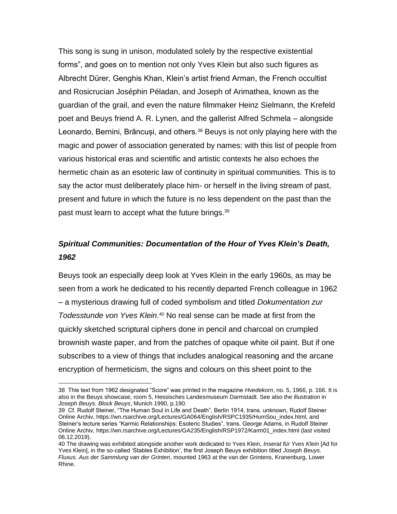This song is sung in unison, modulated solely by the respective existential forms", and goes on to mention not only Yves Klein but also such figures as Albrecht Dürer, Genghis Khan, Klein's artist friend Arman, the French occultist and Rosicrucian Joséphin Péladan, and Joseph of Arimathea, known as the guardian of the grail, and even the nature filmmaker Heinz Sielmann, the Krefeld poet and Beuys friend A. R. Lynen, and the gallerist Alfred Schmela – alongside Leonardo, Bernini, Brâncuși, and others.<sup>38</sup> Beuys is not only playing here with the magic and power of association generated by names: with this list of people from various historical eras and scientific and artistic contexts he also echoes the hermetic chain as an esoteric law of continuity in spiritual communities. This is to say the actor must deliberately place him- or herself in the living stream of past, present and future in which the future is no less dependent on the past than the past must learn to accept what the future brings.<sup>39</sup>

## *Spiritual Communities: Documentation of the Hour of Yves Klein's Death, 1962*

Beuys took an especially deep look at Yves Klein in the early 1960s, as may be seen from a work he dedicated to his recently departed French colleague in 1962 – a mysterious drawing full of coded symbolism and titled *Dokumentation zur Todesstunde von Yves Klein*. <sup>40</sup> No real sense can be made at first from the quickly sketched scriptural ciphers done in pencil and charcoal on crumpled brownish waste paper, and from the patches of opaque white oil paint. But if one subscribes to a view of things that includes analogical reasoning and the arcane encryption of hermeticism, the signs and colours on this sheet point to the

<sup>38</sup> This text from 1962 designated "Score" was printed in the magazine *Hvedekorn*, no. 5, 1966, p. 166. It is also in the Beuys showcase, room 5, Hessisches Landesmuseum Darmstadt. See also the illustration in *Joseph Beuys. Block Beuys*, Munich 1990, p.190.

<sup>39</sup> Cf. Rudolf Steiner, "The Human Soul in Life and Death", Berlin 1914, trans. unknown, Rudolf Steiner Online Archiv, https://wn.rsarchive.org/Lectures/GA064/English/RSPC1935/HumSou\_index.html, and Steiner's lecture series "Karmic Relationships: Esoteric Studies", trans. George Adams, in Rudolf Steiner Online Archiv, https://wn.rsarchive.org/Lectures/GA235/English/RSP1972/Karm01\_index.html (last visited 06.12.2019).

<sup>40</sup> The drawing was exhibited alongside another work dedicated to Yves Klein, *Inserat für Yves Klein* [Ad for Yves Klein], in the so-called 'Stables Exhibition', the first Joseph Beuys exhibition titled *Joseph Beuys. Fluxus. Aus der Sammlung van der Grinten*, mounted 1963 at the van der Grintens, Kranenburg, Lower Rhine.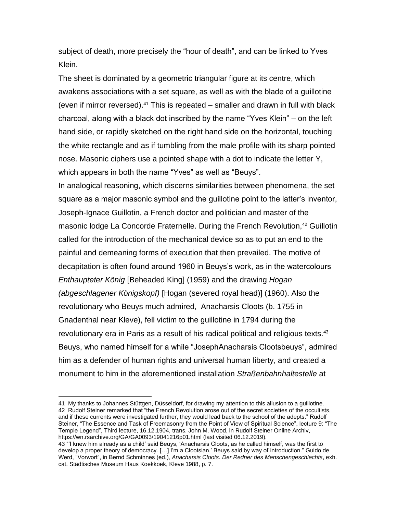subject of death, more precisely the "hour of death", and can be linked to Yves Klein.

The sheet is dominated by a geometric triangular figure at its centre, which awakens associations with a set square, as well as with the blade of a guillotine (even if mirror reversed). $41$  This is repeated – smaller and drawn in full with black charcoal, along with a black dot inscribed by the name "Yves Klein" – on the left hand side, or rapidly sketched on the right hand side on the horizontal, touching the white rectangle and as if tumbling from the male profile with its sharp pointed nose. Masonic ciphers use a pointed shape with a dot to indicate the letter Y, which appears in both the name "Yves" as well as "Beuys".

In analogical reasoning, which discerns similarities between phenomena, the set square as a major masonic symbol and the guillotine point to the latter's inventor, Joseph-Ignace Guillotin, a French doctor and politician and master of the masonic lodge La Concorde Fraternelle. During the French Revolution,<sup>42</sup> Guillotin called for the introduction of the mechanical device so as to put an end to the painful and demeaning forms of execution that then prevailed. The motive of decapitation is often found around 1960 in Beuys's work, as in the watercolours *Enthaupteter König* [Beheaded King] (1959) and the drawing *Hogan (abgeschlagener Königskopf)* [Hogan (severed royal head)] (1960). Also the revolutionary who Beuys much admired, Anacharsis Cloots (b. 1755 in Gnadenthal near Kleve), fell victim to the guillotine in 1794 during the revolutionary era in Paris as a result of his radical political and religious texts.<sup>43</sup> Beuys, who named himself for a while "JosephAnacharsis Clootsbeuys", admired him as a defender of human rights and universal human liberty, and created a monument to him in the aforementioned installation *Straßenbahnhaltestelle* at

<sup>41</sup> My thanks to Johannes Stüttgen, Düsseldorf, for drawing my attention to this allusion to a guillotine. 42 Rudolf Steiner remarked that "the French Revolution arose out of the secret societies of the occultists, and if these currents were investigated further, they would lead back to the school of the adepts." Rudolf Steiner, "The Essence and Task of Freemasonry from the Point of View of Spiritual Science", lecture 9: "The Temple Legend", Third lecture, 16.12.1904, trans. John M. Wood, in Rudolf Steiner Online Archiv, https://wn.rsarchive.org/GA/GA0093/19041216p01.html (last visited 06.12.2019).

<sup>43</sup> "'I knew him already as a child' said Beuys, 'Anacharsis Cloots, as he called himself, was the first to develop a proper theory of democracy. […] I'm a Clootsian,' Beuys said by way of introduction." Guido de Werd, "Vorwort", in Bernd Schminnes (ed.), *Anacharsis Cloots. Der Redner des Menschengeschlechts*, exh. cat. Städtisches Museum Haus Koekkoek, Kleve 1988, p. 7.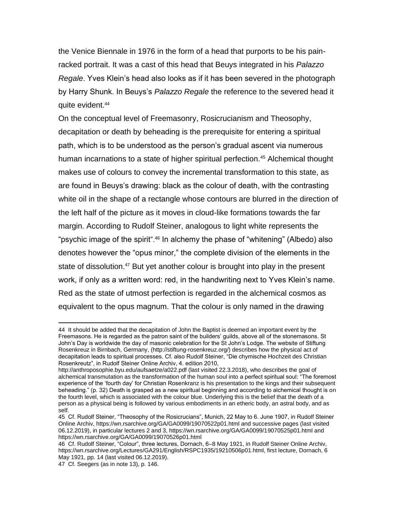the Venice Biennale in 1976 in the form of a head that purports to be his painracked portrait. It was a cast of this head that Beuys integrated in his *Palazzo Regale*. Yves Klein's head also looks as if it has been severed in the photograph by Harry Shunk. In Beuys's *Palazzo Regale* the reference to the severed head it quite evident.<sup>44</sup>

On the conceptual level of Freemasonry, Rosicrucianism and Theosophy, decapitation or death by beheading is the prerequisite for entering a spiritual path, which is to be understood as the person's gradual ascent via numerous human incarnations to a state of higher spiritual perfection.<sup>45</sup> Alchemical thought makes use of colours to convey the incremental transformation to this state, as are found in Beuys's drawing: black as the colour of death, with the contrasting white oil in the shape of a rectangle whose contours are blurred in the direction of the left half of the picture as it moves in cloud-like formations towards the far margin. According to Rudolf Steiner, analogous to light white represents the "psychic image of the spirit".<sup>46</sup> In alchemy the phase of "whitening" (Albedo) also denotes however the "opus minor," the complete division of the elements in the state of dissolution.<sup>47</sup> But yet another colour is brought into play in the present work, if only as a written word: red, in the handwriting next to Yves Klein's name. Red as the state of utmost perfection is regarded in the alchemical cosmos as equivalent to the opus magnum. That the colour is only named in the drawing

<sup>44</sup> It should be added that the decapitation of John the Baptist is deemed an important event by the Freemasons. He is regarded as the patron saint of the builders' guilds, above all of the stonemasons. St John's Day is worldwide the day of masonic celebration for the St John's Lodge. The website of Stiftung Rosenkreuz in Birnbach, Germany, (http://stiftung-rosenkreuz.org/) describes how the physical act of decapitation leads to spiritual processes. Cf. also Rudolf Steiner, "Die chymische Hochzeit des Christian Rosenkreutz", in Rudolf Steiner Online Archiv, 4. edition 2010,

http://anthroposophie.byu.edu/aufsaetze/a022.pdf (last visited 22.3.2018), who describes the goal of alchemical transmutation as the transformation of the human soul into a perfect spiritual soul: "The foremost experience of the 'fourth day' for Christian Rosenkranz is his presentation to the kings and their subsequent beheading." (p. 32) Death is grasped as a new spiritual beginning and according to alchemical thought is on the fourth level, which is associated with the colour blue. Underlying this is the belief that the death of a person as a physical being is followed by various embodiments in an etheric body, an astral body, and as self.

<sup>45</sup> Cf. Rudolf Steiner, "Theosophy of the Rosicrucians", Munich, 22 May to 6. June 1907, in Rudolf Steiner Online Archiv, https://wn.rsarchive.org/GA/GA0099/19070522p01.html and successive pages (last visited 06.12.2019), in particular lectures 2 and 3, https://wn.rsarchive.org/GA/GA0099/19070525p01.html and https://wn.rsarchive.org/GA/GA0099/19070526p01.html

<sup>46</sup> Cf. Rudolf Steiner, "Colour", three lectures, Dornach, 6–8 May 1921, in Rudolf Steiner Online Archiv, https://wn.rsarchive.org/Lectures/GA291/English/RSPC1935/19210506p01.html, first lecture, Dornach, 6 May 1921, pp. 14 (last visited 06.12.2019).

<sup>47</sup> Cf. Seegers (as in note 13), p. 146.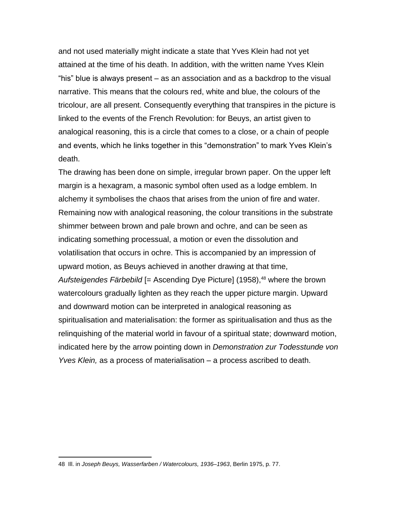and not used materially might indicate a state that Yves Klein had not yet attained at the time of his death. In addition, with the written name Yves Klein "his" blue is always present – as an association and as a backdrop to the visual narrative. This means that the colours red, white and blue, the colours of the tricolour, are all present. Consequently everything that transpires in the picture is linked to the events of the French Revolution: for Beuys, an artist given to analogical reasoning, this is a circle that comes to a close, or a chain of people and events, which he links together in this "demonstration" to mark Yves Klein's death.

The drawing has been done on simple, irregular brown paper. On the upper left margin is a hexagram, a masonic symbol often used as a lodge emblem. In alchemy it symbolises the chaos that arises from the union of fire and water. Remaining now with analogical reasoning, the colour transitions in the substrate shimmer between brown and pale brown and ochre, and can be seen as indicating something processual, a motion or even the dissolution and volatilisation that occurs in ochre. This is accompanied by an impression of upward motion, as Beuys achieved in another drawing at that time, *Aufsteigendes Färbebild* [= Ascending Dye Picture] (1958),<sup>48</sup> where the brown watercolours gradually lighten as they reach the upper picture margin. Upward and downward motion can be interpreted in analogical reasoning as spiritualisation and materialisation: the former as spiritualisation and thus as the relinquishing of the material world in favour of a spiritual state; downward motion, indicated here by the arrow pointing down in *Demonstration zur Todesstunde von Yves Klein,* as a process of materialisation – a process ascribed to death.

<sup>48</sup> Ill. in *Joseph Beuys, Wasserfarben / Watercolours, 1936–1963*, Berlin 1975, p. 77.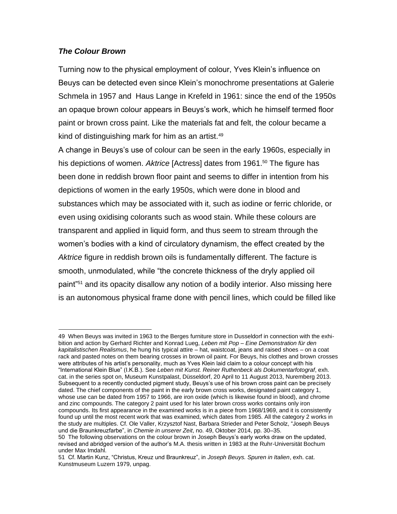#### *The Colour Brown*

Turning now to the physical employment of colour, Yves Klein's influence on Beuys can be detected even since Klein's monochrome presentations at Galerie Schmela in 1957 and Haus Lange in Krefeld in 1961: since the end of the 1950s an opaque brown colour appears in Beuys's work, which he himself termed floor paint or brown cross paint. Like the materials fat and felt, the colour became a kind of distinguishing mark for him as an artist.<sup>49</sup>

A change in Beuys's use of colour can be seen in the early 1960s, especially in his depictions of women. Aktrice [Actress] dates from 1961.<sup>50</sup> The figure has been done in reddish brown floor paint and seems to differ in intention from his depictions of women in the early 1950s, which were done in blood and substances which may be associated with it, such as iodine or ferric chloride, or even using oxidising colorants such as wood stain. While these colours are transparent and applied in liquid form, and thus seem to stream through the women's bodies with a kind of circulatory dynamism, the effect created by the *Aktrice* figure in reddish brown oils is fundamentally different. The facture is smooth, unmodulated, while "the concrete thickness of the dryly applied oil paint"<sup>51</sup> and its opacity disallow any notion of a bodily interior. Also missing here is an autonomous physical frame done with pencil lines, which could be filled like

<sup>49</sup> When Beuys was invited in 1963 to the Berges furniture store in Dusseldorf in connection with the exhibition and action by Gerhard Richter and Konrad Lueg, *Leben mit Pop – Eine Demonstration für den kapitalistischen Realismus*, he hung his typical attire – hat, waistcoat, jeans and raised shoes – on a coat rack and pasted notes on them bearing crosses in brown oil paint. For Beuys, his clothes and brown crosses were attributes of his artist's personality, much as Yves Klein laid claim to a colour concept with his "International Klein Blue" (I.K.B.). See *Leben mit Kunst. Reiner Ruthenbeck als Dokumentarfotograf*, exh. cat. in the series spot on, Museum Kunstpalast, Düsseldorf, 20 April to 11 August 2013, Nuremberg 2013. Subsequent to a recently conducted pigment study, Beuys's use of his brown cross paint can be precisely dated. The chief components of the paint in the early brown cross works, designated paint category 1, whose use can be dated from 1957 to 1966, are iron oxide (which is likewise found in blood), and chrome and zinc compounds. The category 2 paint used for his later brown cross works contains only iron compounds. Its first appearance in the examined works is in a piece from 1968/1969, and it is consistently found up until the most recent work that was examined, which dates from 1985. All the category 2 works in the study are multiples. Cf. Ole Valler, Krzysztof Nast, Barbara Strieder and Peter Scholz, "Joseph Beuys und die Braunkreuzfarbe", in *Chemie in unserer Zeit*, no. 49, Oktober 2014, pp. 30–35.

<sup>50</sup> The following observations on the colour brown in Joseph Beuys's early works draw on the updated, revised and abridged version of the author's M.A. thesis written in 1983 at the Ruhr-Universität Bochum under Max Imdahl.

<sup>51</sup> Cf. Martin Kunz, "Christus, Kreuz und Braunkreuz", in *Joseph Beuys. Spuren in Italien*, exh. cat. Kunstmuseum Luzern 1979, unpag.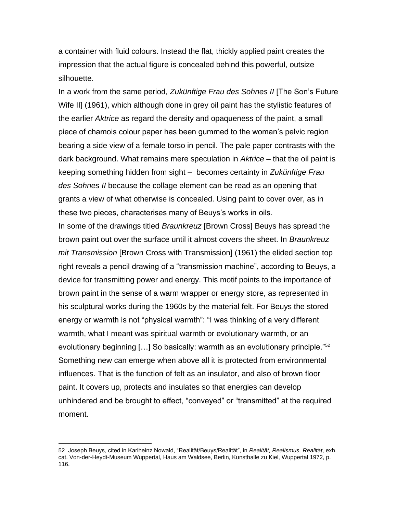a container with fluid colours. Instead the flat, thickly applied paint creates the impression that the actual figure is concealed behind this powerful, outsize silhouette.

In a work from the same period, *Zukünftige Frau des Sohnes II* [The Son's Future Wife II] (1961), which although done in grey oil paint has the stylistic features of the earlier *Aktrice* as regard the density and opaqueness of the paint, a small piece of chamois colour paper has been gummed to the woman's pelvic region bearing a side view of a female torso in pencil. The pale paper contrasts with the dark background. What remains mere speculation in *Aktrice* – that the oil paint is keeping something hidden from sight – becomes certainty in *Zukünftige Frau des Sohnes II* because the collage element can be read as an opening that grants a view of what otherwise is concealed. Using paint to cover over, as in these two pieces, characterises many of Beuys's works in oils.

In some of the drawings titled *Braunkreuz* [Brown Cross] Beuys has spread the brown paint out over the surface until it almost covers the sheet. In *Braunkreuz mit Transmission* [Brown Cross with Transmission] (1961) the elided section top right reveals a pencil drawing of a "transmission machine", according to Beuys, a device for transmitting power and energy. This motif points to the importance of brown paint in the sense of a warm wrapper or energy store, as represented in his sculptural works during the 1960s by the material felt. For Beuys the stored energy or warmth is not "physical warmth": "I was thinking of a very different warmth, what I meant was spiritual warmth or evolutionary warmth, or an evolutionary beginning [...] So basically: warmth as an evolutionary principle."<sup>52</sup> Something new can emerge when above all it is protected from environmental influences. That is the function of felt as an insulator, and also of brown floor paint. It covers up, protects and insulates so that energies can develop unhindered and be brought to effect, "conveyed" or "transmitted" at the required moment.

<sup>52</sup> Joseph Beuys, cited in Karlheinz Nowald, "Realität/Beuys/Realität", in *Realität, Realismus, Realität*, exh. cat. Von-der-Heydt-Museum Wuppertal, Haus am Waldsee, Berlin, Kunsthalle zu Kiel, Wuppertal 1972, p. 116.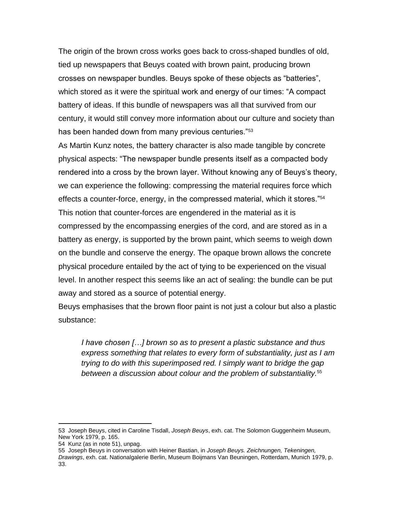The origin of the brown cross works goes back to cross-shaped bundles of old, tied up newspapers that Beuys coated with brown paint, producing brown crosses on newspaper bundles. Beuys spoke of these objects as "batteries", which stored as it were the spiritual work and energy of our times: "A compact battery of ideas. If this bundle of newspapers was all that survived from our century, it would still convey more information about our culture and society than has been handed down from many previous centuries."<sup>53</sup>

As Martin Kunz notes, the battery character is also made tangible by concrete physical aspects: "The newspaper bundle presents itself as a compacted body rendered into a cross by the brown layer. Without knowing any of Beuys's theory, we can experience the following: compressing the material requires force which effects a counter-force, energy, in the compressed material, which it stores."<sup>54</sup> This notion that counter-forces are engendered in the material as it is compressed by the encompassing energies of the cord, and are stored as in a battery as energy, is supported by the brown paint, which seems to weigh down on the bundle and conserve the energy. The opaque brown allows the concrete physical procedure entailed by the act of tying to be experienced on the visual level. In another respect this seems like an act of sealing: the bundle can be put away and stored as a source of potential energy.

Beuys emphasises that the brown floor paint is not just a colour but also a plastic substance:

*I have chosen […] brown so as to present a plastic substance and thus express something that relates to every form of substantiality, just as I am trying to do with this superimposed red. I simply want to bridge the gap between a discussion about colour and the problem of substantiality.*<sup>55</sup>

<sup>53</sup> Joseph Beuys, cited in Caroline Tisdall, *Joseph Beuys*, exh. cat. The Solomon Guggenheim Museum, New York 1979, p. 165.

<sup>54</sup> Kunz (as in note 51), unpag.

<sup>55</sup> Joseph Beuys in conversation with Heiner Bastian, in *Joseph Beuys. Zeichnungen, Tekeningen, Drawings*, exh. cat. Nationalgalerie Berlin, Museum Boijmans Van Beuningen, Rotterdam, Munich 1979, p. 33.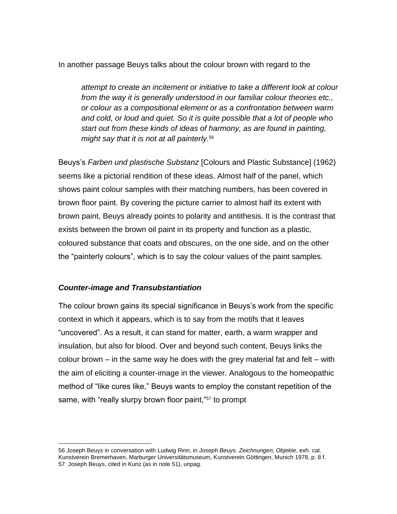In another passage Beuys talks about the colour brown with regard to the

*attempt to create an incitement or initiative to take a different look at colour from the way it is generally understood in our familiar colour theories etc., or colour as a compositional element or as a confrontation between warm and cold, or loud and quiet. So it is quite possible that a lot of people who start out from these kinds of ideas of harmony, as are found in painting, might say that it is not at all painterly.*<sup>56</sup>

Beuys's *Farben und plastische Substanz* [Colours and Plastic Substance] (1962) seems like a pictorial rendition of these ideas. Almost half of the panel, which shows paint colour samples with their matching numbers, has been covered in brown floor paint. By covering the picture carrier to almost half its extent with brown paint, Beuys already points to polarity and antithesis. It is the contrast that exists between the brown oil paint in its property and function as a plastic, coloured substance that coats and obscures, on the one side, and on the other the "painterly colours", which is to say the colour values of the paint samples.

#### *Counter-image and Transubstantiation*

The colour brown gains its special significance in Beuys's work from the specific context in which it appears, which is to say from the motifs that it leaves "uncovered". As a result, it can stand for matter, earth, a warm wrapper and insulation, but also for blood. Over and beyond such content, Beuys links the colour brown – in the same way he does with the grey material fat and felt – with the aim of eliciting a counter-image in the viewer. Analogous to the homeopathic method of "like cures like," Beuys wants to employ the constant repetition of the same, with "really slurpy brown floor paint,"<sup>57</sup> to prompt

<sup>56</sup> Joseph Beuys in conversation with Ludwig Rinn, in *Joseph Beuys. Zeichnungen, Objekte*, exh. cat. Kunstverein Bremerhaven, Marburger Universitätsmuseum, Kunstverein Göttingen, Munich 1978, p. 8 f. 57 Joseph Beuys, cited in Kunz (as in note 51), unpag.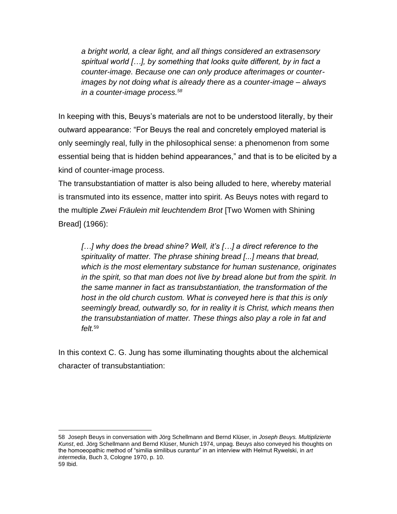*a bright world, a clear light, and all things considered an extrasensory spiritual world […], by something that looks quite different, by in fact a counter-image. Because one can only produce afterimages or counterimages by not doing what is already there as a counter-image – always in a counter-image process.<sup>58</sup>*

In keeping with this, Beuys's materials are not to be understood literally, by their outward appearance: "For Beuys the real and concretely employed material is only seemingly real, fully in the philosophical sense: a phenomenon from some essential being that is hidden behind appearances," and that is to be elicited by a kind of counter-image process.

The transubstantiation of matter is also being alluded to here, whereby material is transmuted into its essence, matter into spirit. As Beuys notes with regard to the multiple *Zwei Fräulein mit leuchtendem Brot* [Two Women with Shining Bread] (1966):

*[…] why does the bread shine? Well, it's […] a direct reference to the spirituality of matter. The phrase shining bread [...] means that bread, which is the most elementary substance for human sustenance, originates in the spirit, so that man does not live by bread alone but from the spirit. In the same manner in fact as transubstantiation, the transformation of the host in the old church custom. What is conveyed here is that this is only seemingly bread, outwardly so, for in reality it is Christ, which means then the transubstantiation of matter. These things also play a role in fat and felt.* 59

In this context C. G. Jung has some illuminating thoughts about the alchemical character of transubstantiation:

<sup>58</sup> Joseph Beuys in conversation with Jörg Schellmann and Bernd Klüser, in *Joseph Beuys. Multiplizierte Kunst*, ed. Jörg Schellmann and Bernd Klüser, Munich 1974, unpag. Beuys also conveyed his thoughts on the homoeopathic method of "similia similibus curantur" in an interview with Helmut Rywelski, in *art intermedia*, Buch 3, Cologne 1970, p. 10. 59 Ibid.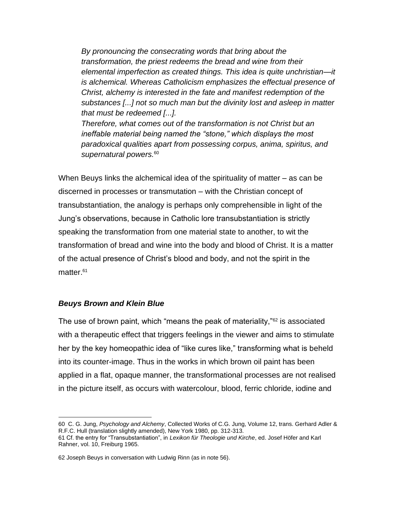*By pronouncing the consecrating words that bring about the transformation, the priest redeems the bread and wine from their elemental imperfection as created things. This idea is quite unchristian—it is alchemical. Whereas Catholicism emphasizes the effectual presence of Christ, alchemy is interested in the fate and manifest redemption of the substances [...] not so much man but the divinity lost and asleep in matter that must be redeemed [...].*

*Therefore, what comes out of the transformation is not Christ but an ineffable material being named the "stone," which displays the most paradoxical qualities apart from possessing corpus, anima, spiritus, and supernatural powers.*<sup>60</sup>

When Beuys links the alchemical idea of the spirituality of matter – as can be discerned in processes or transmutation – with the Christian concept of transubstantiation, the analogy is perhaps only comprehensible in light of the Jung's observations, because in Catholic lore transubstantiation is strictly speaking the transformation from one material state to another, to wit the transformation of bread and wine into the body and blood of Christ. It is a matter of the actual presence of Christ's blood and body, and not the spirit in the matter.<sup>61</sup>

#### *Beuys Brown and Klein Blue*

The use of brown paint, which "means the peak of materiality,"<sup>62</sup> is associated with a therapeutic effect that triggers feelings in the viewer and aims to stimulate her by the key homeopathic idea of "like cures like," transforming what is beheld into its counter-image. Thus in the works in which brown oil paint has been applied in a flat, opaque manner, the transformational processes are not realised in the picture itself, as occurs with watercolour, blood, ferric chloride, iodine and

<sup>60</sup> C. G. Jung, *Psychology and Alchemy*, Collected Works of C.G. Jung, Volume 12, trans. Gerhard Adler & R.F.C. Hull (translation slightly amended), New York 1980, pp. 312-313.

<sup>61</sup> Cf. the entry for "Transubstantiation", in *Lexikon für Theologie und Kirche*, ed. Josef Höfer and Karl Rahner, vol. 10, Freiburg 1965.

<sup>62</sup> Joseph Beuys in conversation with Ludwig Rinn (as in note 56).